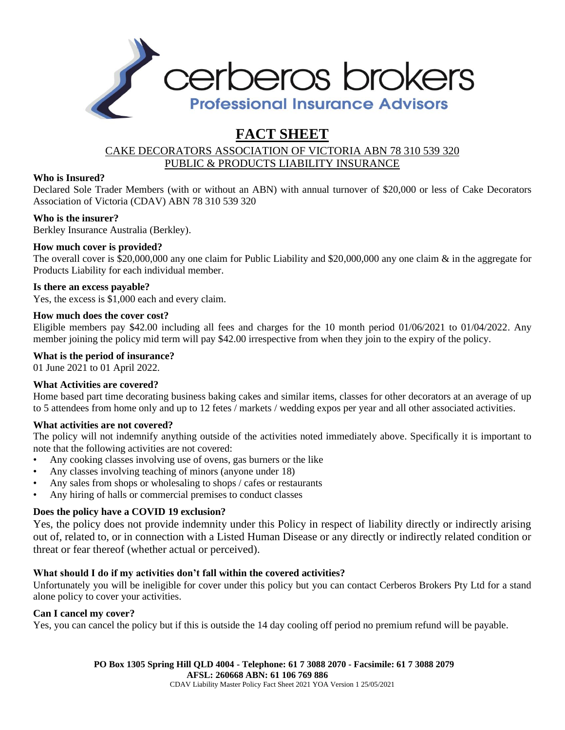

# **FACT SHEET**

# CAKE DECORATORS ASSOCIATION OF VICTORIA ABN 78 310 539 320 PUBLIC & PRODUCTS LIABILITY INSURANCE

# **Who is Insured?**

Declared Sole Trader Members (with or without an ABN) with annual turnover of \$20,000 or less of Cake Decorators Association of Victoria (CDAV) ABN 78 310 539 320

# **Who is the insurer?**

Berkley Insurance Australia (Berkley).

# **How much cover is provided?**

The overall cover is \$20,000,000 any one claim for Public Liability and \$20,000,000 any one claim & in the aggregate for Products Liability for each individual member.

#### **Is there an excess payable?**

Yes, the excess is \$1,000 each and every claim.

#### **How much does the cover cost?**

Eligible members pay \$42.00 including all fees and charges for the 10 month period 01/06/2021 to 01/04/2022. Any member joining the policy mid term will pay \$42.00 irrespective from when they join to the expiry of the policy.

#### **What is the period of insurance?**

01 June 2021 to 01 April 2022.

# **What Activities are covered?**

Home based part time decorating business baking cakes and similar items, classes for other decorators at an average of up to 5 attendees from home only and up to 12 fetes / markets / wedding expos per year and all other associated activities.

# **What activities are not covered?**

The policy will not indemnify anything outside of the activities noted immediately above. Specifically it is important to note that the following activities are not covered:

- Any cooking classes involving use of ovens, gas burners or the like
- Any classes involving teaching of minors (anyone under 18)
- Any sales from shops or wholesaling to shops / cafes or restaurants
- Any hiring of halls or commercial premises to conduct classes

# **Does the policy have a COVID 19 exclusion?**

Yes, the policy does not provide indemnity under this Policy in respect of liability directly or indirectly arising out of, related to, or in connection with a Listed Human Disease or any directly or indirectly related condition or threat or fear thereof (whether actual or perceived).

# **What should I do if my activities don't fall within the covered activities?**

Unfortunately you will be ineligible for cover under this policy but you can contact Cerberos Brokers Pty Ltd for a stand alone policy to cover your activities.

# **Can I cancel my cover?**

Yes, you can cancel the policy but if this is outside the 14 day cooling off period no premium refund will be payable.